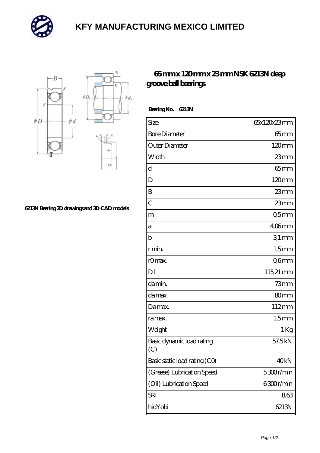

## **[KFY MANUFACTURING MEXICO LIMITED](https://m.mailemotion.tv)**



## **[6213N Bearing 2D drawings and 3D CAD models](https://m.mailemotion.tv/pic-413107.html)**

## **[65 mm x 120 mm x 23 mm NSK 6213N deep](https://m.mailemotion.tv/au-413107-nsk-6213n-deep-groove-ball-bearings.html) [groove ball bearings](https://m.mailemotion.tv/au-413107-nsk-6213n-deep-groove-ball-bearings.html)**

 **Bearing No. 6213N**

| Size                             | 65x120x23mm      |
|----------------------------------|------------------|
| <b>Bore Diameter</b>             | $65 \text{mm}$   |
| Outer Diameter                   | 120mm            |
| Width                            | 23mm             |
| d                                | $65 \text{mm}$   |
| D                                | $120 \text{mm}$  |
| B                                | 23mm             |
| $\overline{C}$                   | $23$ mm          |
| m                                | Q5mm             |
| а                                | $406$ mm         |
| $\mathbf b$                      | $31$ mm          |
| r min.                           | $1,5$ mm         |
| rOmax.                           | Q6mm             |
| D <sub>1</sub>                   | 115,21 mm        |
| damin.                           | $73$ mm          |
| damax                            | 80 <sub>mm</sub> |
| Damax.                           | 112mm            |
| ra max.                          | $1,5$ mm         |
| Weight                           | 1Kg              |
| Basic dynamic load rating<br>(C) | 57,5kN           |
| Basic static load rating (CO)    | 40 <sub>kN</sub> |
| (Grease) Lubrication Speed       | 5300r/min        |
| (Oil) Lubrication Speed          | 6300r/min        |
| <b>SRI</b>                       | 863              |
| hidYobi                          | 6213N            |
|                                  |                  |